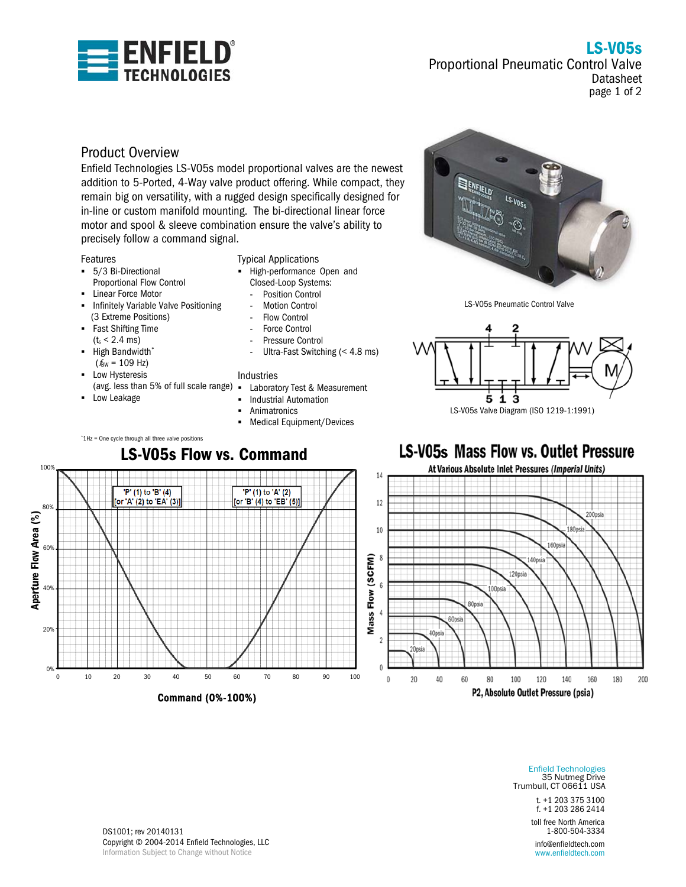

LS-V05s Proportional Pneumatic Control Valve Datasheet

page 1 of 2

# Product Overview

Enfield Technologies LS-V05s model proportional valves are the newest addition to 5-Ported, 4-Way valve product offering. While compact, they remain big on versatility, with a rugged design specifically designed for in-line or custom manifold mounting. The bi-directional linear force motor and spool & sleeve combination ensure the valve's ability to precisely follow a command signal.

### Features

- 5/3 Bi-Directional Proportional Flow Control
- **-** Linear Force Motor
- **-** Infinitely Variable Valve Positioning (3 Extreme Positions)
- Fast Shifting Time  $(t_s < 2.4$  ms)
- High Bandwidth\*  $(*f*<sub>BW</sub> = 109 Hz)$
- Low Hysteresis
- (avg. less than 5% of full scale range)

\* 1Hz = One cycle through all three valve positions

**-** Low Leakage

### Typical Applications

- High-performance Open and
	- Closed-Loop Systems:
	- Position Control Motion Control
	- Flow Control
	- Force Control
	- Pressure Control
	- Ultra-Fast Switching (< 4.8 ms)

### Industries

- Laboratory Test & Measurement
- Industrial Automation
- Animatronics
- **Medical Equipment/Devices**



LS-V05s Pneumatic Control Valve





Enfield Technologies 35 Nutmeg Drive Trumbull, CT 06611 USA

> t. +1 203 375 3100 f. +1 203 286 2414

toll free North America 1-800-504-3334

info@enfieldtech.com www.enfieldtech.com

DS1001; rev 20140131 Copyright © 2004-2014 Enfield Technologies, LLC Information Subject to Change without Notice